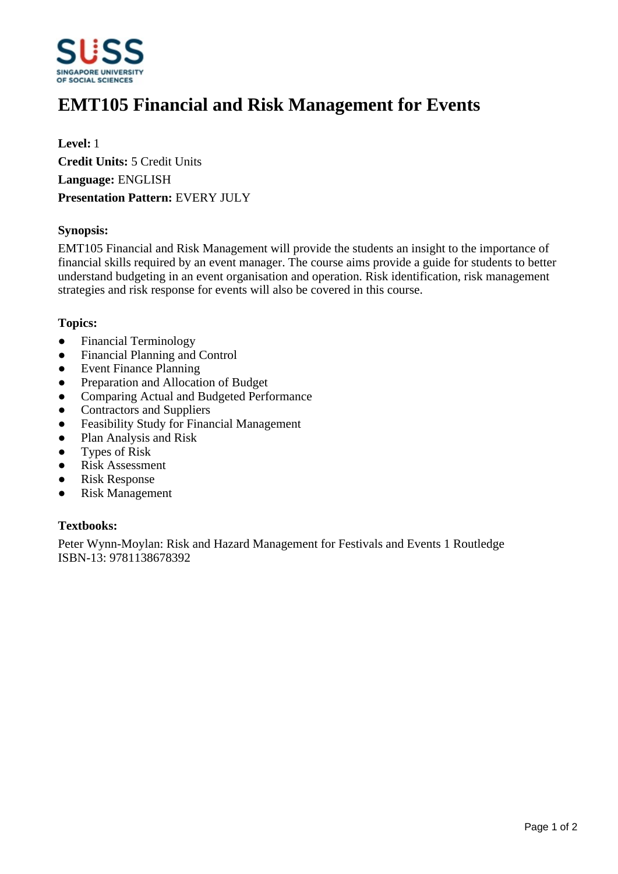

# **EMT105 Financial and Risk Management for Events**

**Level:** 1 **Credit Units:** 5 Credit Units **Language:** ENGLISH **Presentation Pattern:** EVERY JULY

## **Synopsis:**

EMT105 Financial and Risk Management will provide the students an insight to the importance of financial skills required by an event manager. The course aims provide a guide for students to better understand budgeting in an event organisation and operation. Risk identification, risk management strategies and risk response for events will also be covered in this course.

#### **Topics:**

- Financial Terminology
- Financial Planning and Control
- Event Finance Planning
- Preparation and Allocation of Budget
- Comparing Actual and Budgeted Performance
- Contractors and Suppliers
- Feasibility Study for Financial Management
- Plan Analysis and Risk
- Types of Risk
- Risk Assessment
- Risk Response
- Risk Management

## **Textbooks:**

Peter Wynn-Moylan: Risk and Hazard Management for Festivals and Events 1 Routledge ISBN-13: 9781138678392